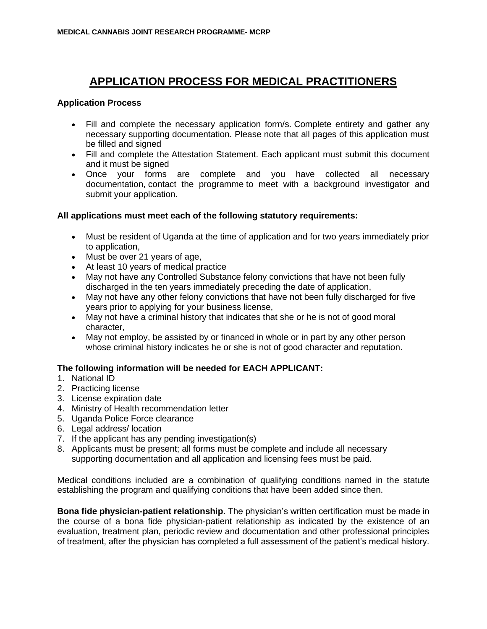## **APPLICATION PROCESS FOR MEDICAL PRACTITIONERS**

## **Application Process**

- Fill and complete the necessary application form/s. Complete entirety and gather any necessary supporting documentation. Please note that all pages of this application must be filled and signed
- Fill and complete the Attestation Statement. Each applicant must submit this document and it must be signed
- Once your forms are complete and you have collected all necessary documentation, contact the programme to meet with a background investigator and submit your application.

## **All applications must meet each of the following statutory requirements:**

- Must be resident of Uganda at the time of application and for two years immediately prior to application,
- Must be over 21 years of age,
- At least 10 years of medical practice
- May not have any Controlled Substance felony convictions that have not been fully discharged in the ten years immediately preceding the date of application,
- May not have any other felony convictions that have not been fully discharged for five years prior to applying for your business license,
- May not have a criminal history that indicates that she or he is not of good moral character,
- May not employ, be assisted by or financed in whole or in part by any other person whose criminal history indicates he or she is not of good character and reputation.

## **The following information will be needed for EACH APPLICANT:**

- 1. National ID
- 2. Practicing license
- 3. License expiration date
- 4. Ministry of Health recommendation letter
- 5. Uganda Police Force clearance
- 6. Legal address/ location
- 7. If the applicant has any pending investigation(s)
- 8. Applicants must be present; all forms must be complete and include all necessary supporting documentation and all application and licensing fees must be paid.

Medical conditions included are a combination of qualifying conditions named in the statute establishing the program and qualifying conditions that have been added since then.

**Bona fide physician-patient relationship.** The physician's written certification must be made in the course of a bona fide physician-patient relationship as indicated by the existence of an evaluation, treatment plan, periodic review and documentation and other professional principles of treatment, after the physician has completed a full assessment of the patient's medical history.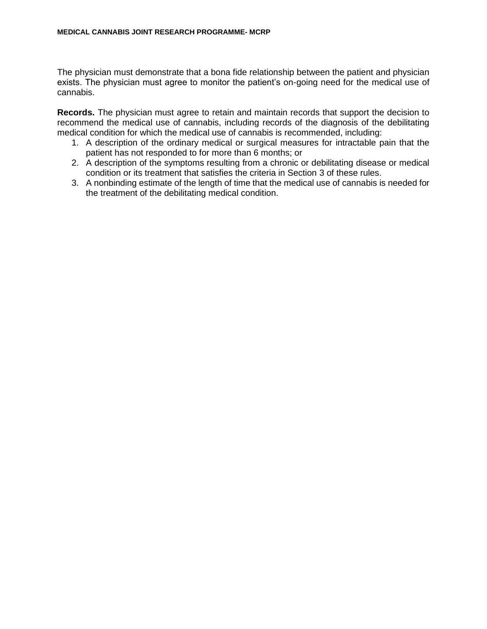The physician must demonstrate that a bona fide relationship between the patient and physician exists. The physician must agree to monitor the patient's on-going need for the medical use of cannabis.

**Records.** The physician must agree to retain and maintain records that support the decision to recommend the medical use of cannabis, including records of the diagnosis of the debilitating medical condition for which the medical use of cannabis is recommended, including:

- 1. A description of the ordinary medical or surgical measures for intractable pain that the patient has not responded to for more than 6 months; or
- 2. A description of the symptoms resulting from a chronic or debilitating disease or medical condition or its treatment that satisfies the criteria in Section 3 of these rules.
- 3. A nonbinding estimate of the length of time that the medical use of cannabis is needed for the treatment of the debilitating medical condition.